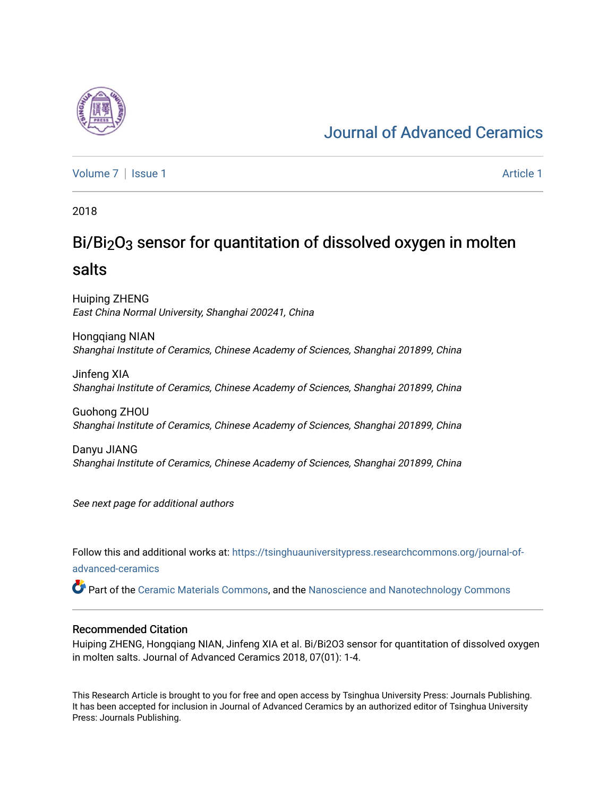# [Journal of Advanced Ceramics](https://tsinghuauniversitypress.researchcommons.org/journal-of-advanced-ceramics)

[Volume 7](https://tsinghuauniversitypress.researchcommons.org/journal-of-advanced-ceramics/vol7) | [Issue 1](https://tsinghuauniversitypress.researchcommons.org/journal-of-advanced-ceramics/vol7/iss1) Article 1

2018

# Bi/Bi2O3 sensor for quantitation of dissolved oxygen in molten salts

Huiping ZHENG East China Normal University, Shanghai 200241, China

Hongqiang NIAN Shanghai Institute of Ceramics, Chinese Academy of Sciences, Shanghai 201899, China

Jinfeng XIA Shanghai Institute of Ceramics, Chinese Academy of Sciences, Shanghai 201899, China

Guohong ZHOU Shanghai Institute of Ceramics, Chinese Academy of Sciences, Shanghai 201899, China

Danyu JIANG Shanghai Institute of Ceramics, Chinese Academy of Sciences, Shanghai 201899, China

See next page for additional authors

Follow this and additional works at: [https://tsinghuauniversitypress.researchcommons.org/journal-of](https://tsinghuauniversitypress.researchcommons.org/journal-of-advanced-ceramics?utm_source=tsinghuauniversitypress.researchcommons.org%2Fjournal-of-advanced-ceramics%2Fvol7%2Fiss1%2F1&utm_medium=PDF&utm_campaign=PDFCoverPages)[advanced-ceramics](https://tsinghuauniversitypress.researchcommons.org/journal-of-advanced-ceramics?utm_source=tsinghuauniversitypress.researchcommons.org%2Fjournal-of-advanced-ceramics%2Fvol7%2Fiss1%2F1&utm_medium=PDF&utm_campaign=PDFCoverPages)

Part of the [Ceramic Materials Commons,](http://network.bepress.com/hgg/discipline/287?utm_source=tsinghuauniversitypress.researchcommons.org%2Fjournal-of-advanced-ceramics%2Fvol7%2Fiss1%2F1&utm_medium=PDF&utm_campaign=PDFCoverPages) and the [Nanoscience and Nanotechnology Commons](http://network.bepress.com/hgg/discipline/313?utm_source=tsinghuauniversitypress.researchcommons.org%2Fjournal-of-advanced-ceramics%2Fvol7%2Fiss1%2F1&utm_medium=PDF&utm_campaign=PDFCoverPages) 

#### Recommended Citation

Huiping ZHENG, Hongqiang NIAN, Jinfeng XIA et al. Bi/Bi2O3 sensor for quantitation of dissolved oxygen in molten salts. Journal of Advanced Ceramics 2018, 07(01): 1-4.

This Research Article is brought to you for free and open access by Tsinghua University Press: Journals Publishing. It has been accepted for inclusion in Journal of Advanced Ceramics by an authorized editor of Tsinghua University Press: Journals Publishing.

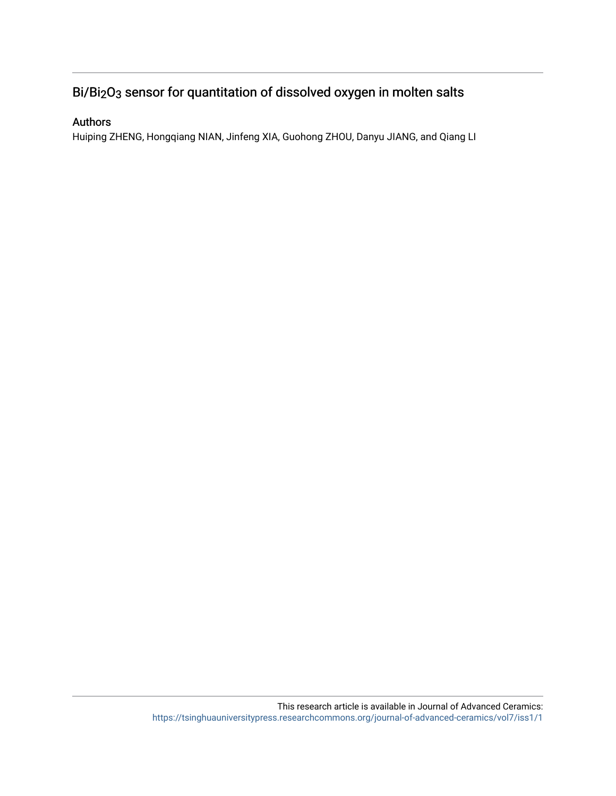## Bi/Bi2O3 sensor for quantitation of dissolved oxygen in molten salts

### Authors

Huiping ZHENG, Hongqiang NIAN, Jinfeng XIA, Guohong ZHOU, Danyu JIANG, and Qiang LI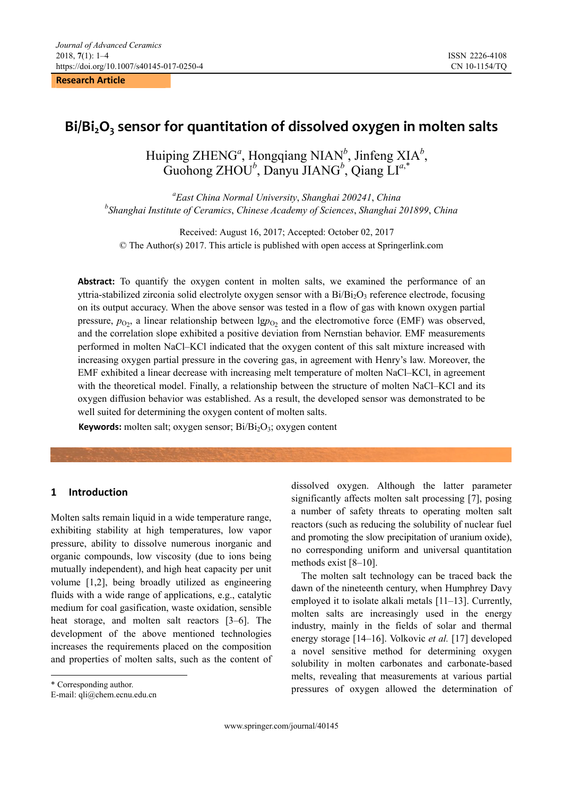**Research Article** 

### **Bi/Bi2O3 sensor for quantitation of dissolved oxygen in molten salts**

Huiping ZHENG<sup>a</sup>, Hongqiang NIAN<sup>b</sup>, Jinfeng XIA<sup>b</sup>, Guohong ZHOU*<sup>b</sup>* , Danyu JIANG*<sup>b</sup>* , Qiang LI*<sup>a</sup>*,\*

*a East China Normal University*, *Shanghai 200241*, *China b Shanghai Institute of Ceramics*, *Chinese Academy of Sciences*, *Shanghai 201899*, *China* 

Received: August 16, 2017; Accepted: October 02, 2017 © The Author(s) 2017. This article is published with open access at Springerlink.com

Abstract: To quantify the oxygen content in molten salts, we examined the performance of an yttria-stabilized zirconia solid electrolyte oxygen sensor with a  $Bi/Bi_2O_3$  reference electrode, focusing on its output accuracy. When the above sensor was tested in a flow of gas with known oxygen partial pressure,  $p_{O_2}$ , a linear relationship between  $\lg p_{O_2}$  and the electromotive force (EMF) was observed, and the correlation slope exhibited a positive deviation from Nernstian behavior. EMF measurements performed in molten NaCl–KCl indicated that the oxygen content of this salt mixture increased with increasing oxygen partial pressure in the covering gas, in agreement with Henry's law. Moreover, the EMF exhibited a linear decrease with increasing melt temperature of molten NaCl–KCl, in agreement with the theoretical model. Finally, a relationship between the structure of molten NaCl–KCl and its oxygen diffusion behavior was established. As a result, the developed sensor was demonstrated to be well suited for determining the oxygen content of molten salts.

**Keywords:** molten salt; oxygen sensor; Bi/Bi<sub>2</sub>O<sub>3</sub>; oxygen content

#### **1 Introduction**

Molten salts remain liquid in a wide temperature range, exhibiting stability at high temperatures, low vapor pressure, ability to dissolve numerous inorganic and organic compounds, low viscosity (due to ions being mutually independent), and high heat capacity per unit volume [1,2], being broadly utilized as engineering fluids with a wide range of applications, e.g., catalytic medium for coal gasification, waste oxidation, sensible heat storage, and molten salt reactors [3–6]. The development of the above mentioned technologies increases the requirements placed on the composition and properties of molten salts, such as the content of

 $\overline{a}$ 

dissolved oxygen. Although the latter parameter significantly affects molten salt processing [7], posing a number of safety threats to operating molten salt reactors (such as reducing the solubility of nuclear fuel and promoting the slow precipitation of uranium oxide), no corresponding uniform and universal quantitation methods exist [8–10].

The molten salt technology can be traced back the dawn of the nineteenth century, when Humphrey Davy employed it to isolate alkali metals [11–13]. Currently, molten salts are increasingly used in the energy industry, mainly in the fields of solar and thermal energy storage [14–16]. Volkovic *et al.* [17] developed a novel sensitive method for determining oxygen solubility in molten carbonates and carbonate-based melts, revealing that measurements at various partial pressures of oxygen allowed the determination of

<span id="page-2-0"></span><sup>\*</sup> Corresponding author.

E-mail: qli@chem.ecnu.edu.cn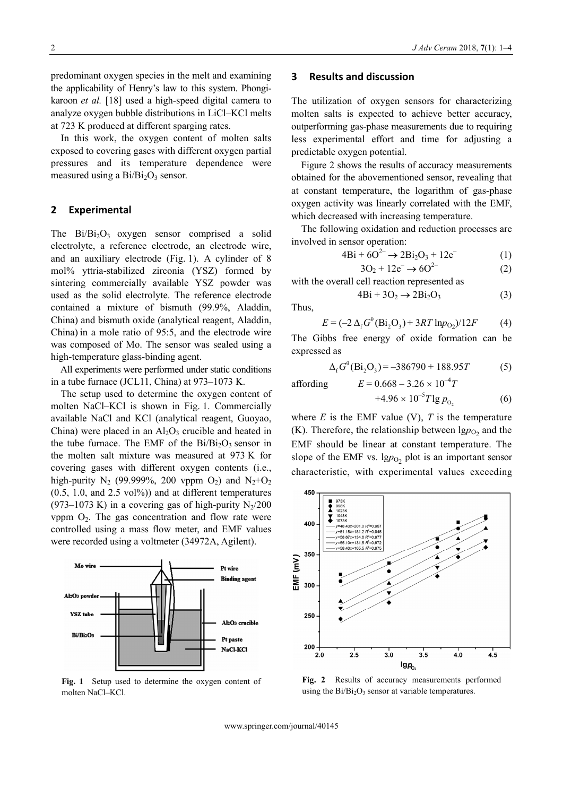predominant oxygen species in the melt and examining the applicability of Henry's law to this system. Phongikaroon *et al.* [18] used a high-speed digital camera to analyze oxygen bubble distributions in LiCl–KCl melts at 723 K produced at different sparging rates.

In this work, the oxygen content of molten salts exposed to covering gases with different oxygen partial pressures and its temperature dependence were measured using a  $Bi/Bi<sub>2</sub>O<sub>3</sub>$  sensor.

The  $Bi/Bi_2O_3$  oxygen sensor comprised a solid electrolyte, a reference electrode, an electrode wire, and an auxiliary electrode (Fig. 1). A cylinder of 8 mol% yttria-stabilized zirconia (YSZ) formed by sintering commercially available YSZ powder was used as the solid electrolyte. The reference electrode contained a mixture of bismuth (99.9%, Aladdin, China) and bismuth oxide (analytical reagent, Aladdin, China) in a mole ratio of 95:5, and the electrode wire was composed of Mo. The sensor was sealed using a high-temperature glass-binding agent.

 $\overline{2}$  All experiments were performed under static conditions in a tube furnace (JCL11, China) at 973–1073 K. affording  $E = 0.668 - 3.26 \times 10^{-4}T$ 

The setup used to determine the oxygen content of molten NaCl–KCl is shown in Fig. 1. Commercially available NaCl and KCl (analytical reagent, Guoyao, China) were placed in an  $Al_2O_3$  crucible and heated in the tube furnace. The EMF of the  $Bi/Bi<sub>2</sub>O<sub>3</sub>$  sensor in the molten salt mixture was measured at 973 K for covering gases with different oxygen contents (i.e., high-purity  $N_2$  (99.999%, 200 vppm  $O_2$ ) and  $N_2+O_2$  $(0.5, 1.0, \text{ and } 2.5 \text{ vol\%)$  and at different temperatures (973–1073 K) in a covering gas of high-purity  $N_2/200$ vppm  $O_2$ . The gas concentration and flow rate were controlled using a mass flow meter, and EMF values were recorded using a voltmeter (34972A, Agilent).



**Fig. 1** Setup used to determine the oxygen content of molten NaCl–KCl.

#### **3 Results and discussion**

The utilization of oxygen sensors for characterizing molten salts is expected to achieve better accuracy, outperforming gas-phase measurements due to requiring less experimental effort and time for adjusting a predictable oxygen potential.

Figure 2 shows the results of accuracy measurements obtained for the abovementioned sensor, revealing that at constant temperature, the logarithm of gas-phase oxygen activity was linearly correlated with the EMF, **2** Experimental which decreased with increasing temperature.

> The following oxidation and reduction processes are involved in sensor operation:

$$
4\text{Bi} + 6\text{O}^{2-} \to 2\text{Bi}_2\text{O}_3 + 12\text{e}^- \tag{1}
$$

$$
3O_2 + 12e^- \to 6O^{2-} \tag{2}
$$

with the overall cell reaction represented as

 $4\text{Bi} + 3\text{O}_2 \rightarrow 2\text{Bi}_2\text{O}_3$  (3)

Thus,

$$
E = (-2 \Delta_f G^{\theta} (\text{Bi}_2 \text{O}_3) + 3RT \text{ln} p_{\text{O}_2})/12F \tag{4}
$$

The Gibbs free energy of oxide formation can be expressed as

$$
\Delta_{f} G^{\theta}(\text{Bi}_{2}\text{O}_{3}) = -386790 + 188.95T
$$
 (5)

$$
10.668 - 3.26 \times 10 = 1
$$

 $+4.96 \times 10^{-5} T \lg p_{0}$  (6) where  $E$  is the EMF value (V),  $T$  is the temperature (K). Therefore, the relationship between  $\lg p_{\text{O}_2}$  and the EMF should be linear at constant temperature. The

slope of the EMF vs.  $\lg p_{O_2}$  plot is an important sensor characteristic, with experimental values exceeding



**Fig. 2** Results of accuracy measurements performed using the  $Bi/Bi<sub>2</sub>O<sub>3</sub>$  sensor at variable temperatures.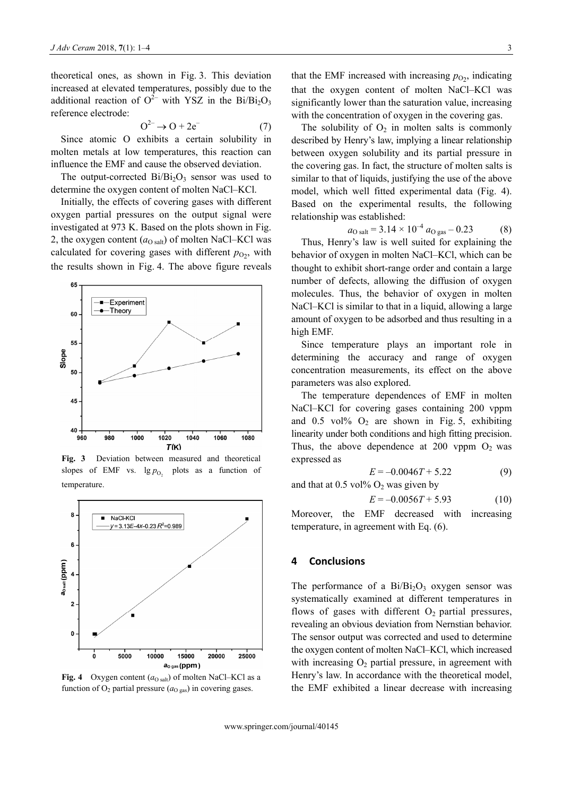theoretical ones, as shown in Fig. 3. This deviation increased at elevated temperatures, possibly due to the additional reaction of  $O^{2-}$  with YSZ in the Bi/Bi<sub>2</sub>O<sub>3</sub> reference electrode:

$$
O^{2-} \to O + 2e^- \tag{7}
$$

Since atomic O exhibits a certain solubility in molten metals at low temperatures, this reaction can influence the EMF and cause the observed deviation.

The output-corrected  $Bi/Bi<sub>2</sub>O<sub>3</sub>$  sensor was used to determine the oxygen content of molten NaCl–KCl.

Initially, the effects of covering gases with different oxygen partial pressures on the output signal were investigated at 973 K. Based on the plots shown in Fig. 2, the oxygen content  $(a<sub>O salt</sub>)$  of molten NaCl–KCl was calculated for covering gases with different  $p_{\text{O}_2}$ , with the results shown in Fig. 4. The above figure reveals



**Fig. 3** Deviation between measured and theoretical expressed as slopes of EMF vs.  $\lg p_{0_2}$  plots as a function of  $E = -0.0046T + 5.22$  (9) temperature.



**Fig. 4** Oxygen content  $(a_{O \text{ salt}})$  of molten NaCl–KCl as a function of  $O_2$  partial pressure ( $a<sub>O gas</sub>$ ) in covering gases.

that the EMF increased with increasing  $p_{\text{O}_2}$ , indicating that the oxygen content of molten NaCl–KCl was significantly lower than the saturation value, increasing with the concentration of oxygen in the covering gas.

The solubility of  $O_2$  in molten salts is commonly described by Henry's law, implying a linear relationship between oxygen solubility and its partial pressure in the covering gas. In fact, the structure of molten salts is similar to that of liquids, justifying the use of the above model, which well fitted experimental data (Fig. 4). Based on the experimental results, the following relationship was established:

$$
a_{\text{O salt}} = 3.14 \times 10^{-4} a_{\text{O gas}} - 0.23 \tag{8}
$$

Thus, Henry's law is well suited for explaining the behavior of oxygen in molten NaCl–KCl, which can be thought to exhibit short-range order and contain a large number of defects, allowing the diffusion of oxygen molecules. Thus, the behavior of oxygen in molten NaCl–KCl is similar to that in a liquid, allowing a large amount of oxygen to be adsorbed and thus resulting in a high EMF.

Since temperature plays an important role in determining the accuracy and range of oxygen concentration measurements, its effect on the above parameters was also explored.

The temperature dependences of EMF in molten NaCl–KCl for covering gases containing 200 vppm and  $0.5 \text{ vol} \%$  O<sub>2</sub> are shown in Fig. 5, exhibiting linearity under both conditions and high fitting precision. Thus, the above dependence at 200 vppm  $O_2$  was

$$
E = -0.0046T + 5.22\tag{9}
$$

and that at  $0.5$  vol%  $O_2$  was given by

$$
E = -0.0056T + 5.93\tag{10}
$$

Moreover, the EMF decreased with increasing temperature, in agreement with Eq. (6).

#### **4 Conclusions**

The performance of a  $Bi/Bi<sub>2</sub>O<sub>3</sub>$  oxygen sensor was systematically examined at different temperatures in flows of gases with different  $O<sub>2</sub>$  partial pressures, revealing an obvious deviation from Nernstian behavior. The sensor output was corrected and used to determine the oxygen content of molten NaCl–KCl, which increased with increasing  $O<sub>2</sub>$  partial pressure, in agreement with Henry's law. In accordance with the theoretical model, the EMF exhibited a linear decrease with increasing